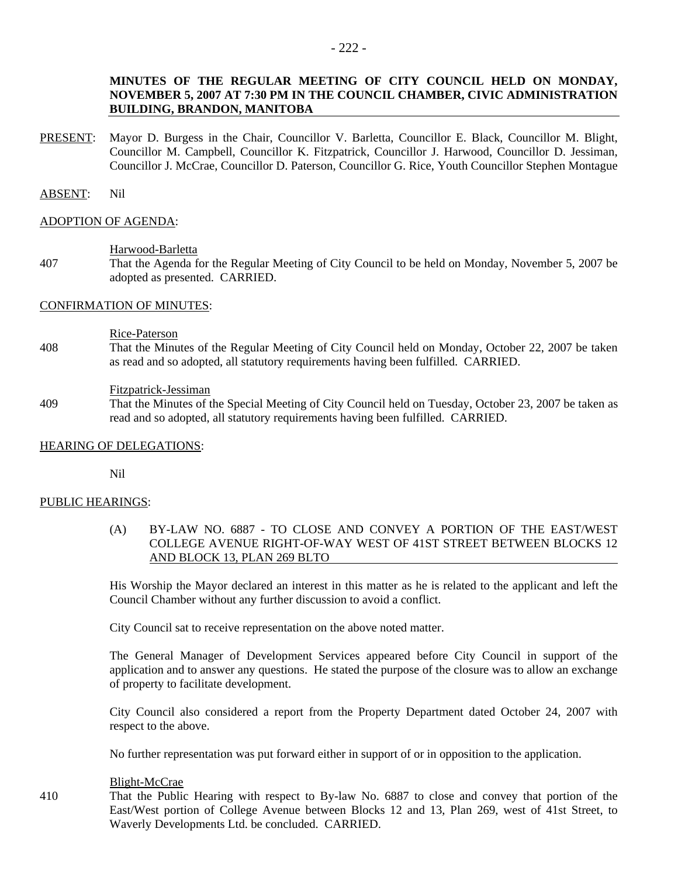# **MINUTES OF THE REGULAR MEETING OF CITY COUNCIL HELD ON MONDAY, NOVEMBER 5, 2007 AT 7:30 PM IN THE COUNCIL CHAMBER, CIVIC ADMINISTRATION BUILDING, BRANDON, MANITOBA**

PRESENT: Mayor D. Burgess in the Chair, Councillor V. Barletta, Councillor E. Black, Councillor M. Blight, Councillor M. Campbell, Councillor K. Fitzpatrick, Councillor J. Harwood, Councillor D. Jessiman, Councillor J. McCrae, Councillor D. Paterson, Councillor G. Rice, Youth Councillor Stephen Montague

## ABSENT: Nil

#### ADOPTION OF AGENDA:

#### Harwood-Barletta

407 That the Agenda for the Regular Meeting of City Council to be held on Monday, November 5, 2007 be adopted as presented. CARRIED.

## CONFIRMATION OF MINUTES:

#### Rice-Paterson

408 That the Minutes of the Regular Meeting of City Council held on Monday, October 22, 2007 be taken as read and so adopted, all statutory requirements having been fulfilled. CARRIED.

#### Fitzpatrick-Jessiman

409 That the Minutes of the Special Meeting of City Council held on Tuesday, October 23, 2007 be taken as read and so adopted, all statutory requirements having been fulfilled. CARRIED.

## HEARING OF DELEGATIONS:

Nil

## PUBLIC HEARINGS:

(A) BY-LAW NO. 6887 - TO CLOSE AND CONVEY A PORTION OF THE EAST/WEST COLLEGE AVENUE RIGHT-OF-WAY WEST OF 41ST STREET BETWEEN BLOCKS 12 AND BLOCK 13, PLAN 269 BLTO

His Worship the Mayor declared an interest in this matter as he is related to the applicant and left the Council Chamber without any further discussion to avoid a conflict.

City Council sat to receive representation on the above noted matter.

The General Manager of Development Services appeared before City Council in support of the application and to answer any questions. He stated the purpose of the closure was to allow an exchange of property to facilitate development.

City Council also considered a report from the Property Department dated October 24, 2007 with respect to the above.

No further representation was put forward either in support of or in opposition to the application.

#### Blight-McCrae

410 That the Public Hearing with respect to By-law No. 6887 to close and convey that portion of the East/West portion of College Avenue between Blocks 12 and 13, Plan 269, west of 41st Street, to Waverly Developments Ltd. be concluded. CARRIED.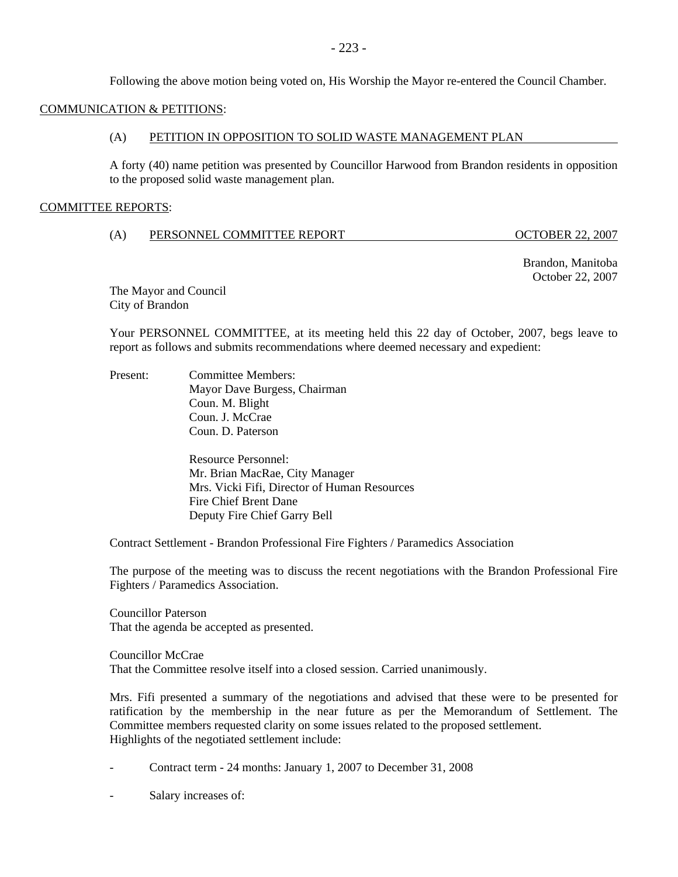Following the above motion being voted on, His Worship the Mayor re-entered the Council Chamber.

# COMMUNICATION & PETITIONS:

## (A) PETITION IN OPPOSITION TO SOLID WASTE MANAGEMENT PLAN

A forty (40) name petition was presented by Councillor Harwood from Brandon residents in opposition to the proposed solid waste management plan.

## COMMITTEE REPORTS:

## (A) PERSONNEL COMMITTEE REPORT OCTOBER 22, 2007

 Brandon, Manitoba October 22, 2007

The Mayor and Council City of Brandon

Your PERSONNEL COMMITTEE, at its meeting held this 22 day of October, 2007, begs leave to report as follows and submits recommendations where deemed necessary and expedient:

Present: Committee Members: Mayor Dave Burgess, Chairman Coun. M. Blight Coun. J. McCrae Coun. D. Paterson

> Resource Personnel: Mr. Brian MacRae, City Manager Mrs. Vicki Fifi, Director of Human Resources Fire Chief Brent Dane Deputy Fire Chief Garry Bell

Contract Settlement - Brandon Professional Fire Fighters / Paramedics Association

The purpose of the meeting was to discuss the recent negotiations with the Brandon Professional Fire Fighters / Paramedics Association.

Councillor Paterson That the agenda be accepted as presented.

Councillor McCrae That the Committee resolve itself into a closed session. Carried unanimously.

Mrs. Fifi presented a summary of the negotiations and advised that these were to be presented for ratification by the membership in the near future as per the Memorandum of Settlement. The Committee members requested clarity on some issues related to the proposed settlement. Highlights of the negotiated settlement include:

- Contract term 24 months: January 1, 2007 to December 31, 2008
- Salary increases of: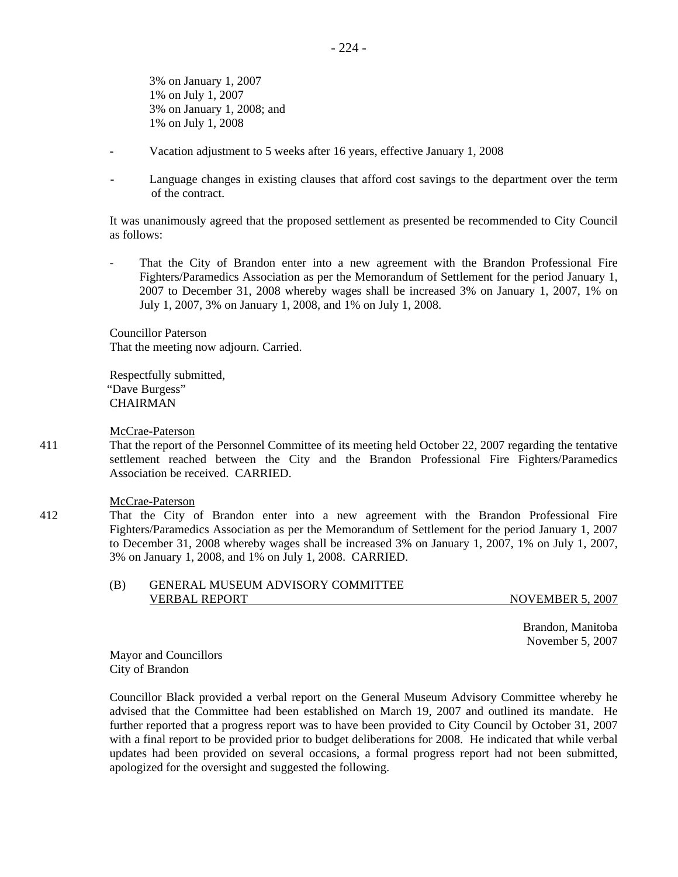3% on January 1, 2007 1% on July 1, 2007 3% on January 1, 2008; and 1% on July 1, 2008

- Vacation adjustment to 5 weeks after 16 years, effective January 1, 2008
- Language changes in existing clauses that afford cost savings to the department over the term of the contract.

It was unanimously agreed that the proposed settlement as presented be recommended to City Council as follows:

That the City of Brandon enter into a new agreement with the Brandon Professional Fire Fighters/Paramedics Association as per the Memorandum of Settlement for the period January 1, 2007 to December 31, 2008 whereby wages shall be increased 3% on January 1, 2007, 1% on July 1, 2007, 3% on January 1, 2008, and 1% on July 1, 2008.

Councillor Paterson That the meeting now adjourn. Carried.

Respectfully submitted, "Dave Burgess" **CHAIRMAN** 

McCrae-Paterson

411 That the report of the Personnel Committee of its meeting held October 22, 2007 regarding the tentative settlement reached between the City and the Brandon Professional Fire Fighters/Paramedics Association be received. CARRIED.

#### McCrae-Paterson

412 That the City of Brandon enter into a new agreement with the Brandon Professional Fire Fighters/Paramedics Association as per the Memorandum of Settlement for the period January 1, 2007 to December 31, 2008 whereby wages shall be increased 3% on January 1, 2007, 1% on July 1, 2007, 3% on January 1, 2008, and 1% on July 1, 2008. CARRIED.

#### (B) GENERAL MUSEUM ADVISORY COMMITTEE VERBAL REPORT NOVEMBER 5, 2007

 Brandon, Manitoba November 5, 2007

Mayor and Councillors City of Brandon

Councillor Black provided a verbal report on the General Museum Advisory Committee whereby he advised that the Committee had been established on March 19, 2007 and outlined its mandate. He further reported that a progress report was to have been provided to City Council by October 31, 2007 with a final report to be provided prior to budget deliberations for 2008. He indicated that while verbal updates had been provided on several occasions, a formal progress report had not been submitted, apologized for the oversight and suggested the following.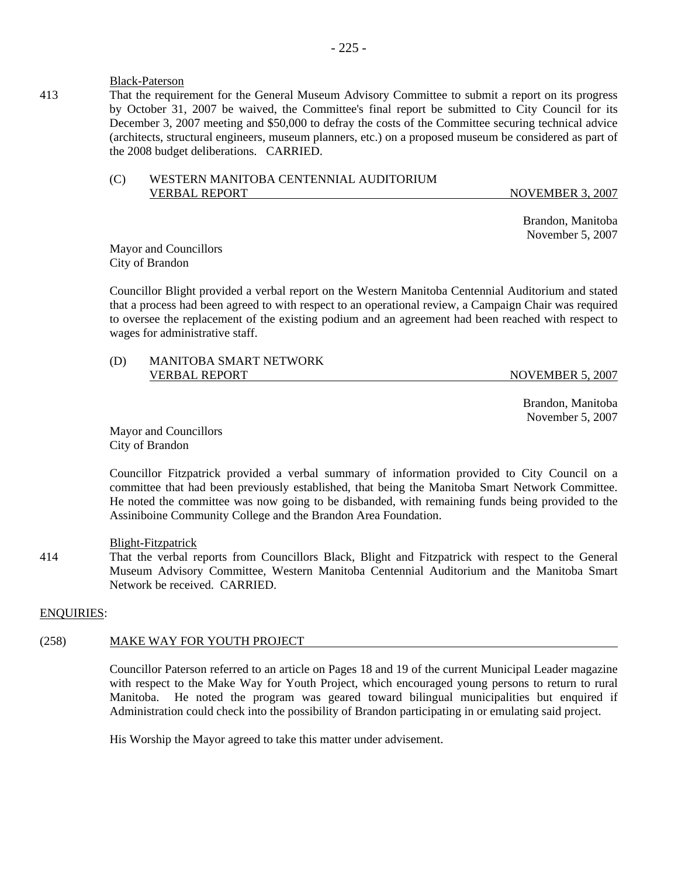## Black-Paterson

413 That the requirement for the General Museum Advisory Committee to submit a report on its progress by October 31, 2007 be waived, the Committee's final report be submitted to City Council for its December 3, 2007 meeting and \$50,000 to defray the costs of the Committee securing technical advice (architects, structural engineers, museum planners, etc.) on a proposed museum be considered as part of the 2008 budget deliberations. CARRIED.

## (C) WESTERN MANITOBA CENTENNIAL AUDITORIUM VERBAL REPORT NOVEMBER 3, 2007

 Brandon, Manitoba November 5, 2007

Mayor and Councillors City of Brandon

Councillor Blight provided a verbal report on the Western Manitoba Centennial Auditorium and stated that a process had been agreed to with respect to an operational review, a Campaign Chair was required to oversee the replacement of the existing podium and an agreement had been reached with respect to wages for administrative staff.

# (D) MANITOBA SMART NETWORK VERBAL REPORT NOVEMBER 5, 2007

 Brandon, Manitoba November 5, 2007

Mayor and Councillors City of Brandon

Councillor Fitzpatrick provided a verbal summary of information provided to City Council on a committee that had been previously established, that being the Manitoba Smart Network Committee. He noted the committee was now going to be disbanded, with remaining funds being provided to the Assiniboine Community College and the Brandon Area Foundation.

## Blight-Fitzpatrick

414 That the verbal reports from Councillors Black, Blight and Fitzpatrick with respect to the General Museum Advisory Committee, Western Manitoba Centennial Auditorium and the Manitoba Smart Network be received. CARRIED.

## ENQUIRIES:

# (258) MAKE WAY FOR YOUTH PROJECT

Councillor Paterson referred to an article on Pages 18 and 19 of the current Municipal Leader magazine with respect to the Make Way for Youth Project, which encouraged young persons to return to rural Manitoba. He noted the program was geared toward bilingual municipalities but enquired if Administration could check into the possibility of Brandon participating in or emulating said project.

His Worship the Mayor agreed to take this matter under advisement.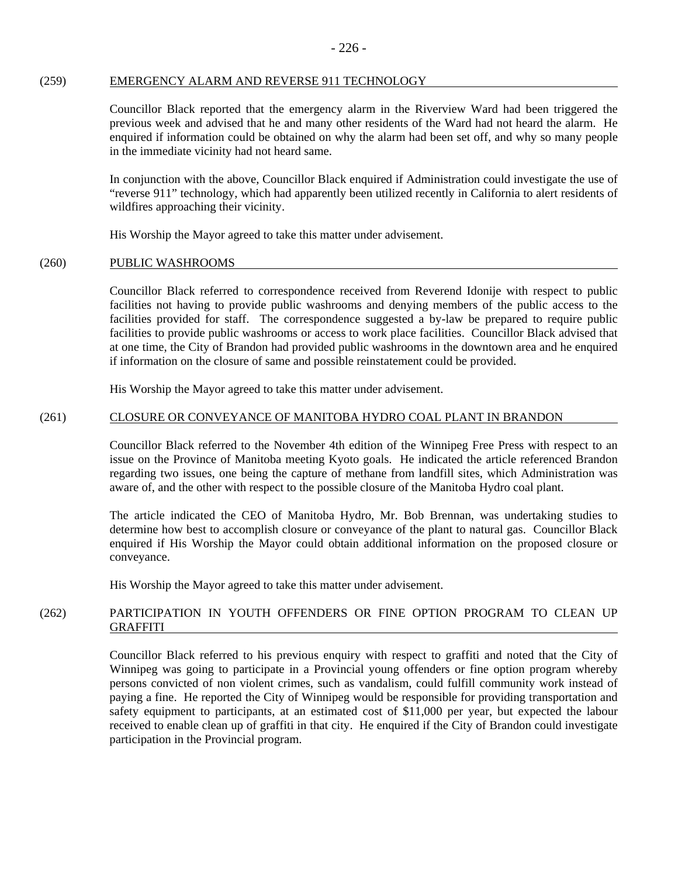## (259) EMERGENCY ALARM AND REVERSE 911 TECHNOLOGY

Councillor Black reported that the emergency alarm in the Riverview Ward had been triggered the previous week and advised that he and many other residents of the Ward had not heard the alarm. He enquired if information could be obtained on why the alarm had been set off, and why so many people in the immediate vicinity had not heard same.

In conjunction with the above, Councillor Black enquired if Administration could investigate the use of "reverse 911" technology, which had apparently been utilized recently in California to alert residents of wildfires approaching their vicinity.

His Worship the Mayor agreed to take this matter under advisement.

## (260) PUBLIC WASHROOMS

Councillor Black referred to correspondence received from Reverend Idonije with respect to public facilities not having to provide public washrooms and denying members of the public access to the facilities provided for staff. The correspondence suggested a by-law be prepared to require public facilities to provide public washrooms or access to work place facilities. Councillor Black advised that at one time, the City of Brandon had provided public washrooms in the downtown area and he enquired if information on the closure of same and possible reinstatement could be provided.

His Worship the Mayor agreed to take this matter under advisement.

# (261) CLOSURE OR CONVEYANCE OF MANITOBA HYDRO COAL PLANT IN BRANDON

Councillor Black referred to the November 4th edition of the Winnipeg Free Press with respect to an issue on the Province of Manitoba meeting Kyoto goals. He indicated the article referenced Brandon regarding two issues, one being the capture of methane from landfill sites, which Administration was aware of, and the other with respect to the possible closure of the Manitoba Hydro coal plant.

The article indicated the CEO of Manitoba Hydro, Mr. Bob Brennan, was undertaking studies to determine how best to accomplish closure or conveyance of the plant to natural gas. Councillor Black enquired if His Worship the Mayor could obtain additional information on the proposed closure or conveyance.

His Worship the Mayor agreed to take this matter under advisement.

# (262) PARTICIPATION IN YOUTH OFFENDERS OR FINE OPTION PROGRAM TO CLEAN UP GRAFFITI

Councillor Black referred to his previous enquiry with respect to graffiti and noted that the City of Winnipeg was going to participate in a Provincial young offenders or fine option program whereby persons convicted of non violent crimes, such as vandalism, could fulfill community work instead of paying a fine. He reported the City of Winnipeg would be responsible for providing transportation and safety equipment to participants, at an estimated cost of \$11,000 per year, but expected the labour received to enable clean up of graffiti in that city. He enquired if the City of Brandon could investigate participation in the Provincial program.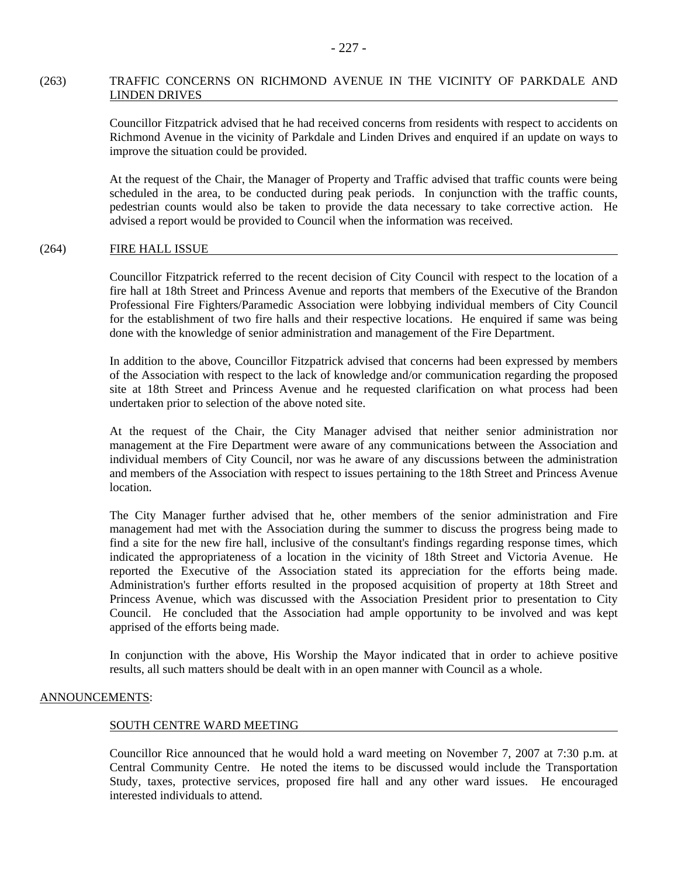# (263) TRAFFIC CONCERNS ON RICHMOND AVENUE IN THE VICINITY OF PARKDALE AND LINDEN DRIVES

Councillor Fitzpatrick advised that he had received concerns from residents with respect to accidents on Richmond Avenue in the vicinity of Parkdale and Linden Drives and enquired if an update on ways to improve the situation could be provided.

At the request of the Chair, the Manager of Property and Traffic advised that traffic counts were being scheduled in the area, to be conducted during peak periods. In conjunction with the traffic counts, pedestrian counts would also be taken to provide the data necessary to take corrective action. He advised a report would be provided to Council when the information was received.

## (264) FIRE HALL ISSUE

Councillor Fitzpatrick referred to the recent decision of City Council with respect to the location of a fire hall at 18th Street and Princess Avenue and reports that members of the Executive of the Brandon Professional Fire Fighters/Paramedic Association were lobbying individual members of City Council for the establishment of two fire halls and their respective locations. He enquired if same was being done with the knowledge of senior administration and management of the Fire Department.

In addition to the above, Councillor Fitzpatrick advised that concerns had been expressed by members of the Association with respect to the lack of knowledge and/or communication regarding the proposed site at 18th Street and Princess Avenue and he requested clarification on what process had been undertaken prior to selection of the above noted site.

At the request of the Chair, the City Manager advised that neither senior administration nor management at the Fire Department were aware of any communications between the Association and individual members of City Council, nor was he aware of any discussions between the administration and members of the Association with respect to issues pertaining to the 18th Street and Princess Avenue location.

The City Manager further advised that he, other members of the senior administration and Fire management had met with the Association during the summer to discuss the progress being made to find a site for the new fire hall, inclusive of the consultant's findings regarding response times, which indicated the appropriateness of a location in the vicinity of 18th Street and Victoria Avenue. He reported the Executive of the Association stated its appreciation for the efforts being made. Administration's further efforts resulted in the proposed acquisition of property at 18th Street and Princess Avenue, which was discussed with the Association President prior to presentation to City Council. He concluded that the Association had ample opportunity to be involved and was kept apprised of the efforts being made.

In conjunction with the above, His Worship the Mayor indicated that in order to achieve positive results, all such matters should be dealt with in an open manner with Council as a whole.

## ANNOUNCEMENTS:

## SOUTH CENTRE WARD MEETING

Councillor Rice announced that he would hold a ward meeting on November 7, 2007 at 7:30 p.m. at Central Community Centre. He noted the items to be discussed would include the Transportation Study, taxes, protective services, proposed fire hall and any other ward issues. He encouraged interested individuals to attend.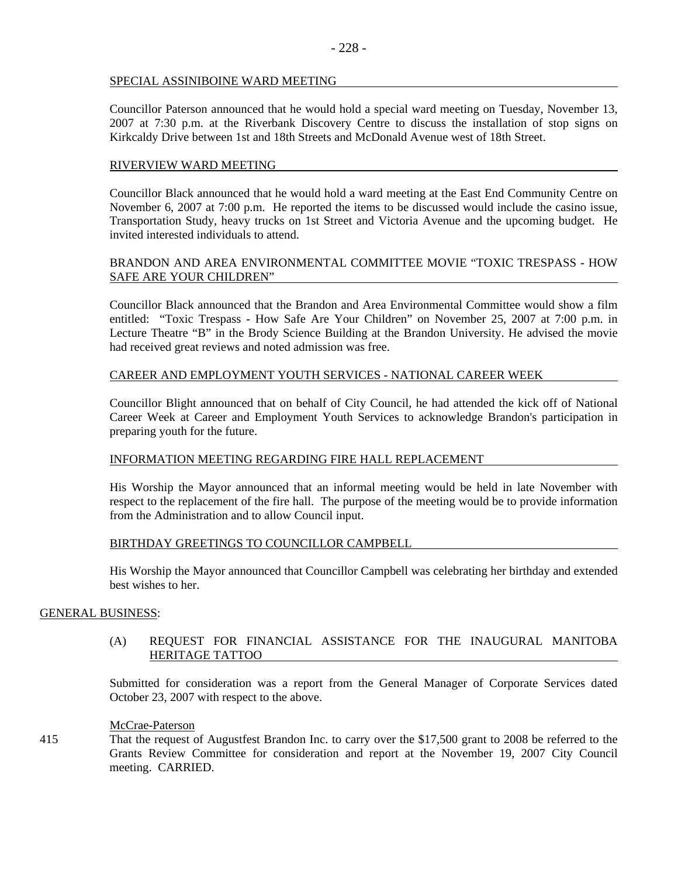## SPECIAL ASSINIBOINE WARD MEETING

Councillor Paterson announced that he would hold a special ward meeting on Tuesday, November 13, 2007 at 7:30 p.m. at the Riverbank Discovery Centre to discuss the installation of stop signs on Kirkcaldy Drive between 1st and 18th Streets and McDonald Avenue west of 18th Street.

# RIVERVIEW WARD MEETING

Councillor Black announced that he would hold a ward meeting at the East End Community Centre on November 6, 2007 at 7:00 p.m. He reported the items to be discussed would include the casino issue, Transportation Study, heavy trucks on 1st Street and Victoria Avenue and the upcoming budget. He invited interested individuals to attend.

# BRANDON AND AREA ENVIRONMENTAL COMMITTEE MOVIE "TOXIC TRESPASS - HOW SAFE ARE YOUR CHILDREN"

Councillor Black announced that the Brandon and Area Environmental Committee would show a film entitled: "Toxic Trespass - How Safe Are Your Children" on November 25, 2007 at 7:00 p.m. in Lecture Theatre "B" in the Brody Science Building at the Brandon University. He advised the movie had received great reviews and noted admission was free.

# CAREER AND EMPLOYMENT YOUTH SERVICES - NATIONAL CAREER WEEK

Councillor Blight announced that on behalf of City Council, he had attended the kick off of National Career Week at Career and Employment Youth Services to acknowledge Brandon's participation in preparing youth for the future.

## INFORMATION MEETING REGARDING FIRE HALL REPLACEMENT

His Worship the Mayor announced that an informal meeting would be held in late November with respect to the replacement of the fire hall. The purpose of the meeting would be to provide information from the Administration and to allow Council input.

## BIRTHDAY GREETINGS TO COUNCILLOR CAMPBELL

His Worship the Mayor announced that Councillor Campbell was celebrating her birthday and extended best wishes to her.

## GENERAL BUSINESS:

## (A) REQUEST FOR FINANCIAL ASSISTANCE FOR THE INAUGURAL MANITOBA HERITAGE TATTOO

Submitted for consideration was a report from the General Manager of Corporate Services dated October 23, 2007 with respect to the above.

## McCrae-Paterson

415 That the request of Augustfest Brandon Inc. to carry over the \$17,500 grant to 2008 be referred to the Grants Review Committee for consideration and report at the November 19, 2007 City Council meeting. CARRIED.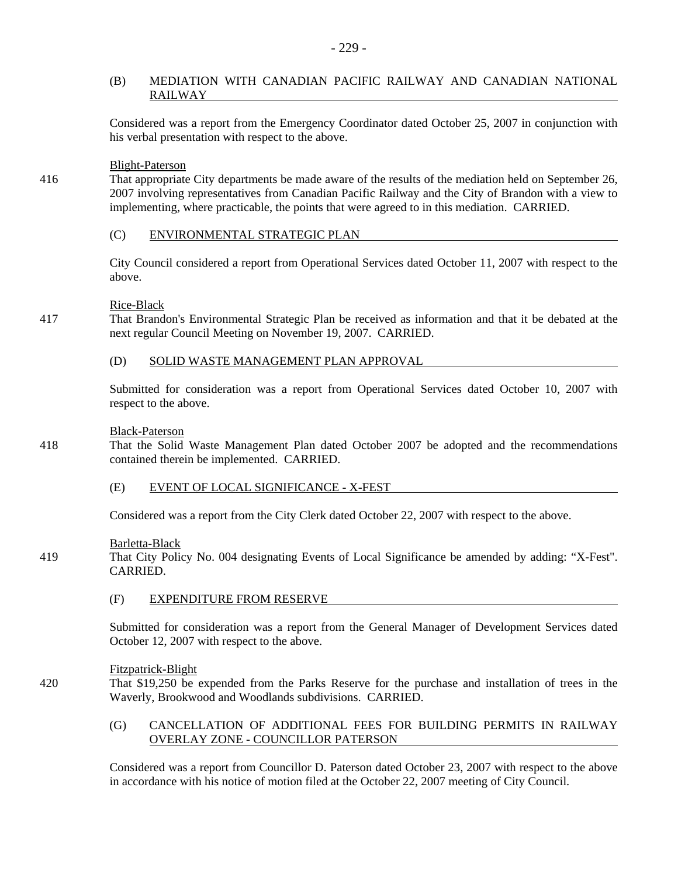# (B) MEDIATION WITH CANADIAN PACIFIC RAILWAY AND CANADIAN NATIONAL RAILWAY

Considered was a report from the Emergency Coordinator dated October 25, 2007 in conjunction with his verbal presentation with respect to the above.

# Blight-Paterson

416 That appropriate City departments be made aware of the results of the mediation held on September 26, 2007 involving representatives from Canadian Pacific Railway and the City of Brandon with a view to implementing, where practicable, the points that were agreed to in this mediation. CARRIED.

## (C) ENVIRONMENTAL STRATEGIC PLAN

City Council considered a report from Operational Services dated October 11, 2007 with respect to the above.

# Rice-Black

417 That Brandon's Environmental Strategic Plan be received as information and that it be debated at the next regular Council Meeting on November 19, 2007. CARRIED.

## (D) SOLID WASTE MANAGEMENT PLAN APPROVAL

Submitted for consideration was a report from Operational Services dated October 10, 2007 with respect to the above.

## Black-Paterson

- 418 That the Solid Waste Management Plan dated October 2007 be adopted and the recommendations contained therein be implemented. CARRIED.
	- (E) EVENT OF LOCAL SIGNIFICANCE X-FEST

Considered was a report from the City Clerk dated October 22, 2007 with respect to the above.

## Barletta-Black

- 419 That City Policy No. 004 designating Events of Local Significance be amended by adding: "X-Fest". CARRIED.
	- (F) EXPENDITURE FROM RESERVE

Submitted for consideration was a report from the General Manager of Development Services dated October 12, 2007 with respect to the above.

## Fitzpatrick-Blight

420 That \$19,250 be expended from the Parks Reserve for the purchase and installation of trees in the Waverly, Brookwood and Woodlands subdivisions. CARRIED.

# (G) CANCELLATION OF ADDITIONAL FEES FOR BUILDING PERMITS IN RAILWAY OVERLAY ZONE - COUNCILLOR PATERSON

Considered was a report from Councillor D. Paterson dated October 23, 2007 with respect to the above in accordance with his notice of motion filed at the October 22, 2007 meeting of City Council.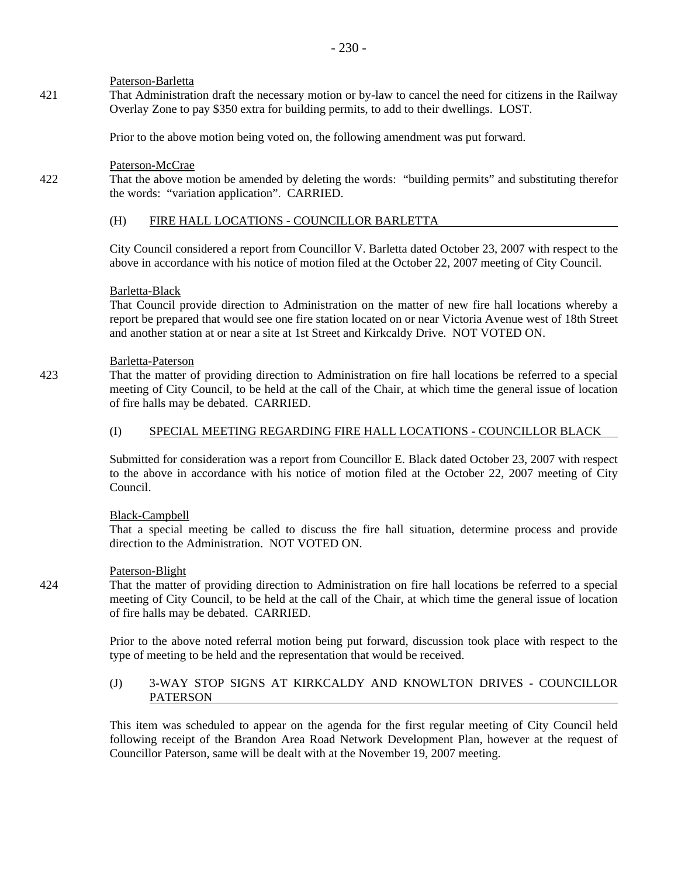## Paterson-Barletta

421 That Administration draft the necessary motion or by-law to cancel the need for citizens in the Railway Overlay Zone to pay \$350 extra for building permits, to add to their dwellings. LOST.

Prior to the above motion being voted on, the following amendment was put forward.

# Paterson-McCrae

422 That the above motion be amended by deleting the words: "building permits" and substituting therefor the words: "variation application". CARRIED.

## (H) FIRE HALL LOCATIONS - COUNCILLOR BARLETTA

City Council considered a report from Councillor V. Barletta dated October 23, 2007 with respect to the above in accordance with his notice of motion filed at the October 22, 2007 meeting of City Council.

## Barletta-Black

That Council provide direction to Administration on the matter of new fire hall locations whereby a report be prepared that would see one fire station located on or near Victoria Avenue west of 18th Street and another station at or near a site at 1st Street and Kirkcaldy Drive. NOT VOTED ON.

## Barletta-Paterson

423 That the matter of providing direction to Administration on fire hall locations be referred to a special meeting of City Council, to be held at the call of the Chair, at which time the general issue of location of fire halls may be debated. CARRIED.

# (I) SPECIAL MEETING REGARDING FIRE HALL LOCATIONS - COUNCILLOR BLACK

Submitted for consideration was a report from Councillor E. Black dated October 23, 2007 with respect to the above in accordance with his notice of motion filed at the October 22, 2007 meeting of City Council.

## Black-Campbell

That a special meeting be called to discuss the fire hall situation, determine process and provide direction to the Administration. NOT VOTED ON.

# Paterson-Blight

424 That the matter of providing direction to Administration on fire hall locations be referred to a special meeting of City Council, to be held at the call of the Chair, at which time the general issue of location of fire halls may be debated. CARRIED.

> Prior to the above noted referral motion being put forward, discussion took place with respect to the type of meeting to be held and the representation that would be received.

# (J) 3-WAY STOP SIGNS AT KIRKCALDY AND KNOWLTON DRIVES - COUNCILLOR PATERSON

This item was scheduled to appear on the agenda for the first regular meeting of City Council held following receipt of the Brandon Area Road Network Development Plan, however at the request of Councillor Paterson, same will be dealt with at the November 19, 2007 meeting.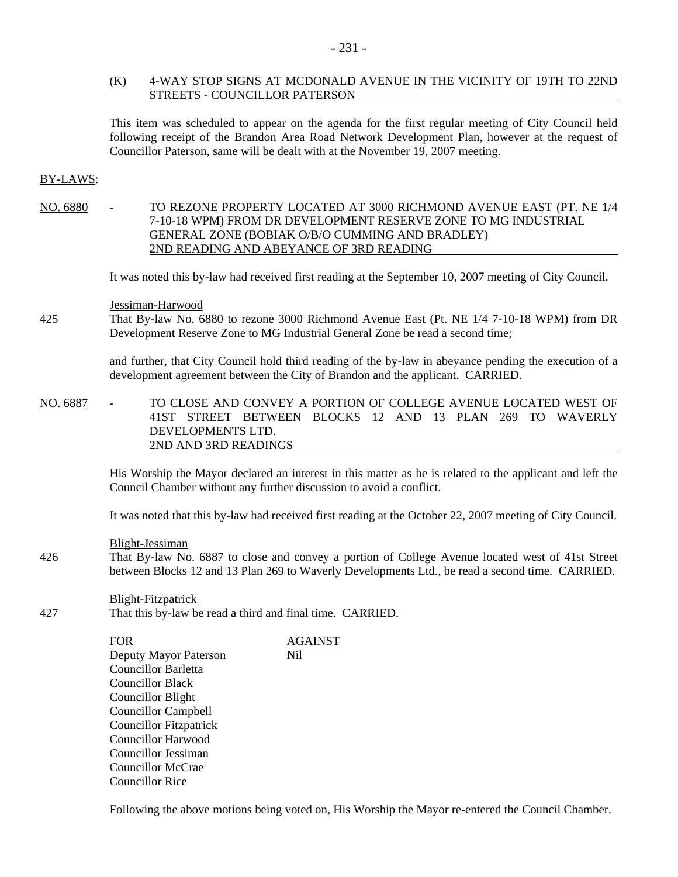## (K) 4-WAY STOP SIGNS AT MCDONALD AVENUE IN THE VICINITY OF 19TH TO 22ND STREETS - COUNCILLOR PATERSON

This item was scheduled to appear on the agenda for the first regular meeting of City Council held following receipt of the Brandon Area Road Network Development Plan, however at the request of Councillor Paterson, same will be dealt with at the November 19, 2007 meeting.

## BY-LAWS:

NO. 6880 - TO REZONE PROPERTY LOCATED AT 3000 RICHMOND AVENUE EAST (PT. NE 1/4 7-10-18 WPM) FROM DR DEVELOPMENT RESERVE ZONE TO MG INDUSTRIAL GENERAL ZONE (BOBIAK O/B/O CUMMING AND BRADLEY) 2ND READING AND ABEYANCE OF 3RD READING

It was noted this by-law had received first reading at the September 10, 2007 meeting of City Council.

Jessiman-Harwood

425 That By-law No. 6880 to rezone 3000 Richmond Avenue East (Pt. NE 1/4 7-10-18 WPM) from DR Development Reserve Zone to MG Industrial General Zone be read a second time;

> and further, that City Council hold third reading of the by-law in abeyance pending the execution of a development agreement between the City of Brandon and the applicant. CARRIED.

NO. 6887 - TO CLOSE AND CONVEY A PORTION OF COLLEGE AVENUE LOCATED WEST OF 41ST STREET BETWEEN BLOCKS 12 AND 13 PLAN 269 TO WAVERLY DEVELOPMENTS LTD. 2ND AND 3RD READINGS

> His Worship the Mayor declared an interest in this matter as he is related to the applicant and left the Council Chamber without any further discussion to avoid a conflict.

> It was noted that this by-law had received first reading at the October 22, 2007 meeting of City Council.

Blight-Jessiman

426 That By-law No. 6887 to close and convey a portion of College Avenue located west of 41st Street between Blocks 12 and 13 Plan 269 to Waverly Developments Ltd., be read a second time. CARRIED.

Blight-Fitzpatrick

427 That this by-law be read a third and final time. CARRIED.

| FOR                           | <b>AGAINST</b> |
|-------------------------------|----------------|
| Deputy Mayor Paterson         | Nil            |
| <b>Councillor Barletta</b>    |                |
| <b>Councillor Black</b>       |                |
| Councillor Blight             |                |
| <b>Councillor Campbell</b>    |                |
| <b>Councillor Fitzpatrick</b> |                |
| <b>Councillor Harwood</b>     |                |
| Councillor Jessiman           |                |
| Councillor McCrae             |                |
| Councillor Rice               |                |

Following the above motions being voted on, His Worship the Mayor re-entered the Council Chamber.